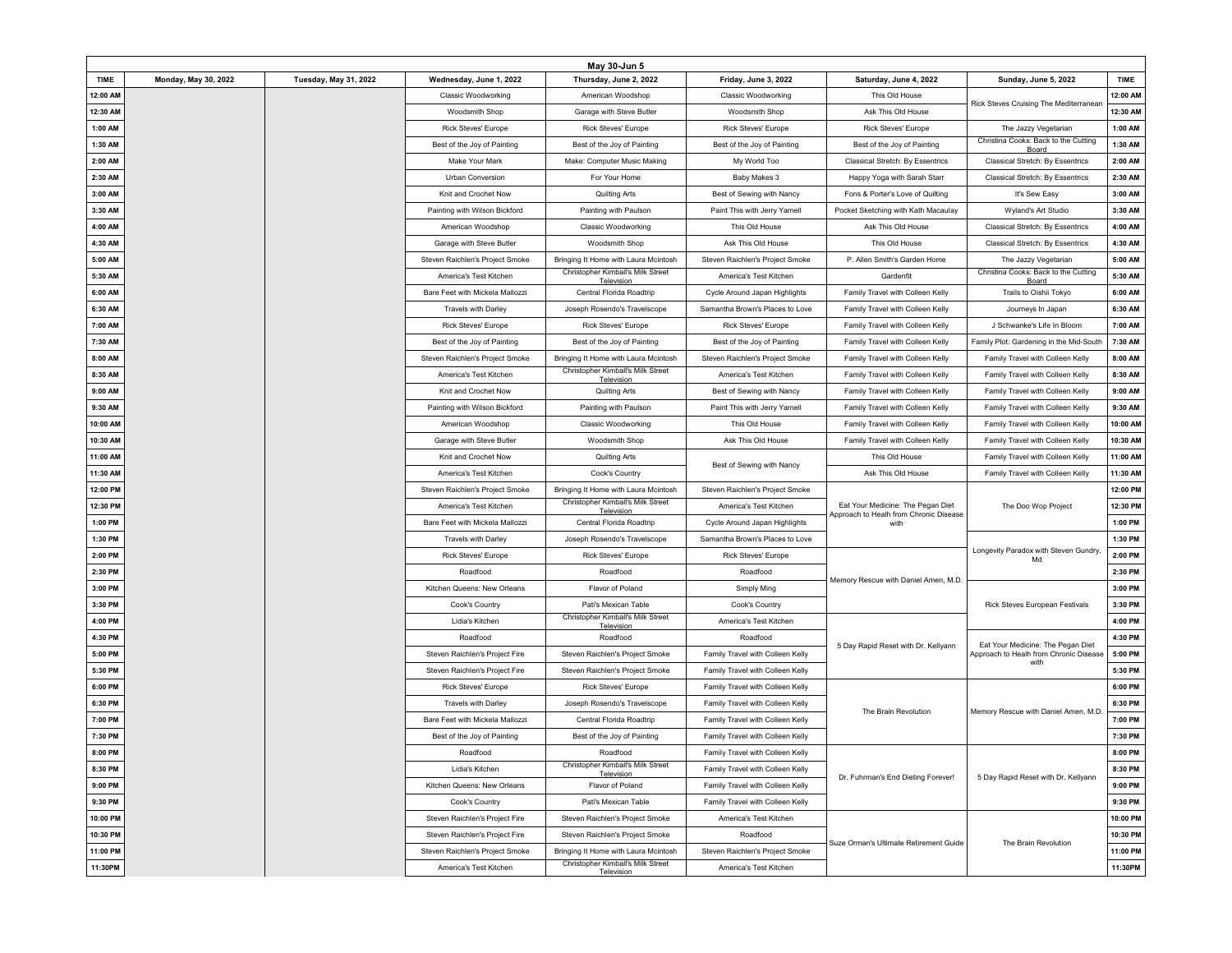|             |                             |                              |                                 | May 30-Jun 5                                    |                                  |                                                                             |                                                |          |
|-------------|-----------------------------|------------------------------|---------------------------------|-------------------------------------------------|----------------------------------|-----------------------------------------------------------------------------|------------------------------------------------|----------|
| <b>TIME</b> | <b>Monday, May 30, 2022</b> | <b>Tuesday, May 31, 2022</b> | Wednesday, June 1, 2022         | Thursday, June 2, 2022                          | Friday, June 3, 2022             | Saturday, June 4, 2022                                                      | <b>Sunday, June 5, 2022</b>                    | TIME     |
| 12:00 AM    |                             |                              | <b>Classic Woodworking</b>      | American Woodshop                               | <b>Classic Woodworking</b>       | This Old House                                                              | Rick Steves Cruising The Mediterranean         | 12:00 AM |
| 12:30 AM    |                             |                              | Woodsmith Shop                  | Garage with Steve Butler                        | <b>Woodsmith Shop</b>            | Ask This Old House                                                          |                                                | 12:30 AM |
| 1:00 AM     |                             |                              | <b>Rick Steves' Europe</b>      | <b>Rick Steves' Europe</b>                      | <b>Rick Steves' Europe</b>       | <b>Rick Steves' Europe</b>                                                  | The Jazzy Vegetarian                           | 1:00 AM  |
| 1:30 AM     |                             |                              | Best of the Joy of Painting     | Best of the Joy of Painting                     | Best of the Joy of Painting      | Best of the Joy of Painting                                                 | Christina Cooks: Back to the Cutting<br>Board  | 1:30 AM  |
| 2:00 AM     |                             |                              | Make Your Mark                  | Make: Computer Music Making                     | My World Too                     | Classical Stretch: By Essentrics                                            | Classical Stretch: By Essentrics               | 2:00 AM  |
| 2:30 AM     |                             |                              | Urban Conversion                | For Your Home                                   | Baby Makes 3                     | Happy Yoga with Sarah Starr                                                 | Classical Stretch: By Essentrics               | 2:30 AM  |
| 3:00 AM     |                             |                              | Knit and Crochet Now            | <b>Quilting Arts</b>                            | Best of Sewing with Nancy        | Fons & Porter's Love of Quilting                                            | It's Sew Easy                                  | 3:00 AM  |
| 3:30 AM     |                             |                              | Painting with Wilson Bickford   | Painting with Paulson                           | Paint This with Jerry Yarnell    | Pocket Sketching with Kath Macaulay                                         | Wyland's Art Studio                            | 3:30 AM  |
| 4:00 AM     |                             |                              | American Woodshop               | <b>Classic Woodworking</b>                      | This Old House                   | Ask This Old House                                                          | Classical Stretch: By Essentrics               | 4:00 AM  |
| 4:30 AM     |                             |                              | Garage with Steve Butler        | Woodsmith Shop                                  | Ask This Old House               | This Old House                                                              | Classical Stretch: By Essentrics               | 4:30 AM  |
| 5:00 AM     |                             |                              | Steven Raichlen's Project Smoke | Bringing It Home with Laura Mcintosh            | Steven Raichlen's Project Smoke  | P. Allen Smith's Garden Home                                                | The Jazzy Vegetarian                           | 5:00 AM  |
| 5:30 AM     |                             |                              | America's Test Kitchen          | Christopher Kimball's Milk Street<br>Television | America's Test Kitchen           | Gardenfit                                                                   | Christina Cooks: Back to the Cutting<br>Board  | 5:30 AM  |
| 6:00 AM     |                             |                              | Bare Feet with Mickela Mallozzi | Central Florida Roadtrip                        | Cycle Around Japan Highlights    | Family Travel with Colleen Kelly                                            | Trails to Oishii Tokyo                         | 6:00 AM  |
| 6:30 AM     |                             |                              | <b>Travels with Darley</b>      | Joseph Rosendo's Travelscope                    | Samantha Brown's Places to Love  | Family Travel with Colleen Kelly                                            | Journeys In Japan                              | 6:30 AM  |
| 7:00 AM     |                             |                              | <b>Rick Steves' Europe</b>      | <b>Rick Steves' Europe</b>                      | <b>Rick Steves' Europe</b>       | Family Travel with Colleen Kelly                                            | J Schwanke's Life In Bloom                     | 7:00 AM  |
| 7:30 AM     |                             |                              | Best of the Joy of Painting     | Best of the Joy of Painting                     | Best of the Joy of Painting      | Family Travel with Colleen Kelly                                            | Family Plot: Gardening in the Mid-South        | 7:30 AM  |
| 8:00 AM     |                             |                              | Steven Raichlen's Project Smoke | Bringing It Home with Laura Mcintosh            | Steven Raichlen's Project Smoke  | Family Travel with Colleen Kelly                                            | Family Travel with Colleen Kelly               | 8:00 AM  |
| 8:30 AM     |                             |                              | America's Test Kitchen          | Christopher Kimball's Milk Street<br>Television | America's Test Kitchen           | Family Travel with Colleen Kelly                                            | Family Travel with Colleen Kelly               | 8:30 AM  |
| 9:00 AM     |                             |                              | Knit and Crochet Now            | <b>Quilting Arts</b>                            | Best of Sewing with Nancy        | Family Travel with Colleen Kelly                                            | Family Travel with Colleen Kelly               | 9:00 AM  |
| 9:30 AM     |                             |                              | Painting with Wilson Bickford   | Painting with Paulson                           | Paint This with Jerry Yarnell    | Family Travel with Colleen Kelly                                            | Family Travel with Colleen Kelly               | 9:30 AM  |
| 10:00 AM    |                             |                              | American Woodshop               | <b>Classic Woodworking</b>                      | This Old House                   | Family Travel with Colleen Kelly                                            | Family Travel with Colleen Kelly               | 10:00 AM |
| 10:30 AM    |                             |                              | Garage with Steve Butler        | Woodsmith Shop                                  | Ask This Old House               | Family Travel with Colleen Kelly                                            | Family Travel with Colleen Kelly               | 10:30 AM |
| 11:00 AM    |                             |                              | Knit and Crochet Now            | Quilting Arts                                   | Best of Sewing with Nancy        | This Old House                                                              | Family Travel with Colleen Kelly               | 11:00 AM |
| 11:30 AM    |                             |                              | America's Test Kitchen          | Cook's Country                                  |                                  | Ask This Old House                                                          | Family Travel with Colleen Kelly               | 11:30 AM |
| 12:00 PM    |                             |                              | Steven Raichlen's Project Smoke | Bringing It Home with Laura Mcintosh            | Steven Raichlen's Project Smoke  |                                                                             |                                                | 12:00 PM |
| 12:30 PM    |                             |                              | America's Test Kitchen          | Christopher Kimball's Milk Street<br>Television | America's Test Kitchen           | Eat Your Medicine: The Pegan Diet<br>Approach to Healh from Chronic Disease | The Doo Wop Project                            | 12:30 PM |
| 1:00 PM     |                             |                              | Bare Feet with Mickela Mallozzi | Central Florida Roadtrip                        | Cycle Around Japan Highlights    | with                                                                        |                                                | 1:00 PM  |
| 1:30 PM     |                             |                              | <b>Travels with Darley</b>      | Joseph Rosendo's Travelscope                    | Samantha Brown's Places to Love  |                                                                             |                                                | 1:30 PM  |
| 2:00 PM     |                             |                              | <b>Rick Steves' Europe</b>      | <b>Rick Steves' Europe</b>                      | <b>Rick Steves' Europe</b>       |                                                                             | Longevity Paradox with Steven Gundry,<br>Md    | 2:00 PM  |
| 2:30 PM     |                             |                              | Roadfood                        | Roadfood                                        | Roadfood                         | Memory Rescue with Daniel Amen, M.D                                         |                                                | 2:30 PM  |
| 3:00 PM     |                             |                              | Kitchen Queens: New Orleans     | Flavor of Poland                                | <b>Simply Ming</b>               |                                                                             |                                                | 3:00 PM  |
| 3:30 PM     |                             |                              | Cook's Country                  | Pati's Mexican Table                            | Cook's Country                   |                                                                             | Rick Steves European Festivals                 | 3:30 PM  |
| 4:00 PM     |                             |                              | Lidia's Kitchen                 | Christopher Kimball's Milk Street<br>Television | America's Test Kitchen           |                                                                             |                                                | 4:00 PM  |
| 4:30 PM     |                             |                              | Roadfood                        | Roadfood                                        | Roadfood                         | 5 Day Rapid Reset with Dr. Kellyann                                         | Eat Your Medicine: The Pegan Diet              | 4:30 PM  |
| 5:00 PM     |                             |                              | Steven Raichlen's Project Fire  | Steven Raichlen's Project Smoke                 | Family Travel with Colleen Kelly |                                                                             | Approach to Healh from Chronic Disease<br>with | 5:00 PM  |
| 5:30 PM     |                             |                              | Steven Raichlen's Project Fire  | Steven Raichlen's Project Smoke                 | Family Travel with Colleen Kelly |                                                                             |                                                | 5:30 PM  |
| 6:00 PM     |                             |                              | <b>Rick Steves' Europe</b>      | <b>Rick Steves' Europe</b>                      | Family Travel with Colleen Kelly |                                                                             |                                                | 6:00 PM  |
| 6:30 PM     |                             |                              | <b>Travels with Darley</b>      | Joseph Rosendo's Travelscope                    | Family Travel with Colleen Kelly | The Brain Revolution                                                        | Memory Rescue with Daniel Amen, M.D.           | 6:30 PM  |
| 7:00 PM     |                             |                              | Bare Feet with Mickela Mallozzi | Central Florida Roadtrip                        | Family Travel with Colleen Kelly |                                                                             |                                                | 7:00 PM  |
| 7:30 PM     |                             |                              | Best of the Joy of Painting     | Best of the Joy of Painting                     | Family Travel with Colleen Kelly |                                                                             |                                                | 7:30 PM  |
| 8:00 PM     |                             |                              | Roadfood                        | Roadfood                                        | Family Travel with Colleen Kelly |                                                                             |                                                | 8:00 PM  |
| 8:30 PM     |                             |                              | Lidia's Kitchen                 | Christopher Kimball's Milk Street<br>Television | Family Travel with Colleen Kelly | Dr. Fuhrman's End Dieting Forever!                                          | 5 Day Rapid Reset with Dr. Kellyann            | 8:30 PM  |
| 9:00 PM     |                             |                              | Kitchen Queens: New Orleans     | Flavor of Poland                                | Family Travel with Colleen Kelly |                                                                             |                                                | 9:00 PM  |
| 9:30 PM     |                             |                              | Cook's Country                  | Pati's Mexican Table                            | Family Travel with Colleen Kelly |                                                                             |                                                | 9:30 PM  |
| 10:00 PM    |                             |                              | Steven Raichlen's Project Fire  | Steven Raichlen's Project Smoke                 | America's Test Kitchen           |                                                                             |                                                | 10:00 PM |
| 10:30 PM    |                             |                              | Steven Raichlen's Project Fire  | Steven Raichlen's Project Smoke                 | Roadfood                         | Suze Orman's Ultimate Retirement Guide                                      | The Brain Revolution                           | 10:30 PM |
| 11:00 PM    |                             |                              | Steven Raichlen's Project Smoke | Bringing It Home with Laura Mcintosh            | Steven Raichlen's Project Smoke  |                                                                             |                                                | 11:00 PM |
| 11:30PM     |                             |                              | America's Test Kitchen          | Christopher Kimball's Milk Street<br>Television | America's Test Kitchen           |                                                                             |                                                | 11:30PM  |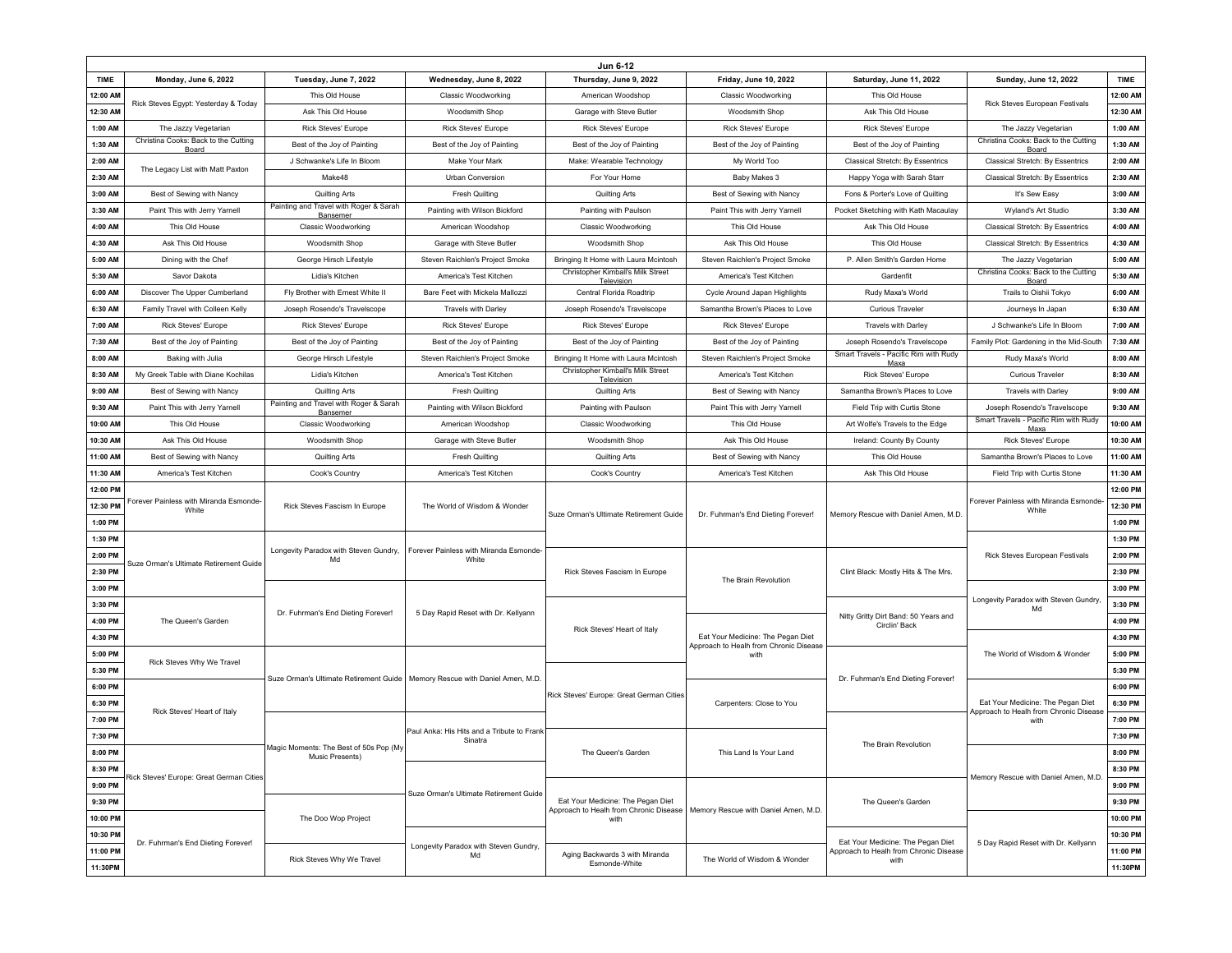|             | Jun 6-12                                       |                                                                               |                                                       |                                                 |                                                                             |                                                                                     |                                                 |             |
|-------------|------------------------------------------------|-------------------------------------------------------------------------------|-------------------------------------------------------|-------------------------------------------------|-----------------------------------------------------------------------------|-------------------------------------------------------------------------------------|-------------------------------------------------|-------------|
| <b>TIME</b> | Monday, June 6, 2022                           | Tuesday, June 7, 2022                                                         | Wednesday, June 8, 2022                               | Thursday, June 9, 2022                          | Friday, June 10, 2022                                                       | Saturday, June 11, 2022                                                             | Sunday, June 12, 2022                           | <b>TIME</b> |
| 12:00 AM    |                                                | This Old House                                                                | <b>Classic Woodworking</b>                            | American Woodshop                               | <b>Classic Woodworking</b>                                                  | This Old House                                                                      |                                                 | 12:00 AM    |
| 12:30 AM    | Rick Steves Egypt: Yesterday & Today           | Ask This Old House                                                            | Woodsmith Shop                                        | Garage with Steve Butler                        | Woodsmith Shop                                                              | Ask This Old House                                                                  | Rick Steves European Festivals                  | 12:30 AM    |
| 1:00 AM     | The Jazzy Vegetarian                           | <b>Rick Steves' Europe</b>                                                    | <b>Rick Steves' Europe</b>                            | <b>Rick Steves' Europe</b>                      | <b>Rick Steves' Europe</b>                                                  | <b>Rick Steves' Europe</b>                                                          | The Jazzy Vegetarian                            | 1:00 AM     |
| 1:30 AM     | Christina Cooks: Back to the Cutting<br>Board  | Best of the Joy of Painting                                                   | Best of the Joy of Painting                           | Best of the Joy of Painting                     | Best of the Joy of Painting                                                 | Best of the Joy of Painting                                                         | Christina Cooks: Back to the Cutting<br>Board   | 1:30 AM     |
| 2:00 AM     |                                                | J Schwanke's Life In Bloom                                                    | Make Your Mark                                        | Make: Wearable Technology                       | My World Too                                                                | Classical Stretch: By Essentrics                                                    | Classical Stretch: By Essentrics                | 2:00 AM     |
| 2:30 AM     | The Legacy List with Matt Paxton               | Make48                                                                        | Urban Conversion                                      | For Your Home                                   | Baby Makes 3                                                                | Happy Yoga with Sarah Starr                                                         | Classical Stretch: By Essentrics                | 2:30 AM     |
| 3:00 AM     | Best of Sewing with Nancy                      | Quilting Arts                                                                 | <b>Fresh Quilting</b>                                 | Quilting Arts                                   | Best of Sewing with Nancy                                                   | Fons & Porter's Love of Quilting                                                    | It's Sew Easy                                   | 3:00 AM     |
| 3:30 AM     | Paint This with Jerry Yarnell                  | Painting and Travel with Roger & Sarah<br>Bansemer                            | Painting with Wilson Bickford                         | Painting with Paulson                           | Paint This with Jerry Yarnell                                               | Pocket Sketching with Kath Macaulay                                                 | Wyland's Art Studio                             | 3:30 AM     |
| 4:00 AM     | This Old House                                 | <b>Classic Woodworking</b>                                                    | American Woodshop                                     | <b>Classic Woodworking</b>                      | This Old House                                                              | Ask This Old House                                                                  | Classical Stretch: By Essentrics                | 4:00 AM     |
| 4:30 AM     | Ask This Old House                             | Woodsmith Shop                                                                | Garage with Steve Butler                              | Woodsmith Shop                                  | Ask This Old House                                                          | This Old House                                                                      | Classical Stretch: By Essentrics                | 4:30 AM     |
| 5:00 AM     | Dining with the Chef                           | George Hirsch Lifestyle                                                       | Steven Raichlen's Project Smoke                       | Bringing It Home with Laura Mcintosh            | Steven Raichlen's Project Smoke                                             | P. Allen Smith's Garden Home                                                        | The Jazzy Vegetarian                            | 5:00 AM     |
| 5:30 AM     | Savor Dakota                                   | Lidia's Kitchen                                                               | America's Test Kitchen                                | Christopher Kimball's Milk Street<br>Television | America's Test Kitchen                                                      | Gardenfit                                                                           | Christina Cooks: Back to the Cutting<br>Board   | 5:30 AM     |
| 6:00 AM     | Discover The Upper Cumberland                  | Fly Brother with Ernest White II                                              | Bare Feet with Mickela Mallozzi                       | Central Florida Roadtrip                        | Cycle Around Japan Highlights                                               | Rudy Maxa's World                                                                   | Trails to Oishii Tokyo                          | 6:00 AM     |
| 6:30 AM     | Family Travel with Colleen Kelly               | Joseph Rosendo's Travelscope                                                  | Travels with Darley                                   | Joseph Rosendo's Travelscope                    | Samantha Brown's Places to Love                                             | <b>Curious Traveler</b>                                                             | Journeys In Japan                               | 6:30 AM     |
| 7:00 AM     | Rick Steves' Europe                            | <b>Rick Steves' Europe</b>                                                    | <b>Rick Steves' Europe</b>                            | <b>Rick Steves' Europe</b>                      | <b>Rick Steves' Europe</b>                                                  | Travels with Darley                                                                 | J Schwanke's Life In Bloom                      | 7:00 AM     |
| 7:30 AM     | Best of the Joy of Painting                    | Best of the Joy of Painting                                                   | Best of the Joy of Painting                           | Best of the Joy of Painting                     | Best of the Joy of Painting                                                 | Joseph Rosendo's Travelscope                                                        | Family Plot: Gardening in the Mid-South         | 7:30 AM     |
| 8:00 AM     | Baking with Julia                              | George Hirsch Lifestyle                                                       | Steven Raichlen's Project Smoke                       | Bringing It Home with Laura Mcintosh            | Steven Raichlen's Project Smoke                                             | Smart Travels - Pacific Rim with Rudy<br>Maxa                                       | Rudy Maxa's World                               | 8:00 AM     |
| 8:30 AM     | My Greek Table with Diane Kochilas             | Lidia's Kitchen                                                               | America's Test Kitchen                                | Christopher Kimball's Milk Street<br>Television | America's Test Kitchen                                                      | <b>Rick Steves' Europe</b>                                                          | <b>Curious Traveler</b>                         | 8:30 AM     |
| 9:00 AM     | Best of Sewing with Nancy                      | <b>Quilting Arts</b>                                                          | <b>Fresh Quilting</b>                                 | Quilting Arts                                   | Best of Sewing with Nancy                                                   | Samantha Brown's Places to Love                                                     | <b>Travels with Darley</b>                      | 9:00 AM     |
| 9:30 AM     | Paint This with Jerry Yarnell                  | Painting and Travel with Roger & Sarah<br>Bansemer                            | Painting with Wilson Bickford                         | Painting with Paulson                           | Paint This with Jerry Yarnell                                               | Field Trip with Curtis Stone                                                        | Joseph Rosendo's Travelscope                    | 9:30 AM     |
| 10:00 AM    | This Old House                                 | <b>Classic Woodworking</b>                                                    | American Woodshop                                     | <b>Classic Woodworking</b>                      | This Old House                                                              | Art Wolfe's Travels to the Edge                                                     | Smart Travels - Pacific Rim with Rudy<br>Maxa   | 10:00 AM    |
| 10:30 AM    | Ask This Old House                             | Woodsmith Shop                                                                | Garage with Steve Butler                              | Woodsmith Shop                                  | Ask This Old House                                                          | Ireland: County By County                                                           | Rick Steves' Europe                             | 10:30 AM    |
| 11:00 AM    | Best of Sewing with Nancy                      | Quilting Arts                                                                 | <b>Fresh Quilting</b>                                 | <b>Quilting Arts</b>                            | Best of Sewing with Nancy                                                   | This Old House                                                                      | Samantha Brown's Places to Love                 | 11:00 AM    |
| 11:30 AM    | America's Test Kitchen                         | Cook's Country                                                                | America's Test Kitchen                                | Cook's Country                                  | America's Test Kitchen                                                      | Ask This Old House                                                                  | Field Trip with Curtis Stone                    | 11:30 AM    |
| 12:00 PM    |                                                | Rick Steves Fascism In Europe                                                 | The World of Wisdom & Wonder                          |                                                 |                                                                             | Memory Rescue with Daniel Amen, M.D.                                                | Forever Painless with Miranda Esmonde-<br>White | 12:00 PM    |
| 12:30 PM    | orever Painless with Miranda Esmonde-<br>White |                                                                               |                                                       |                                                 |                                                                             |                                                                                     |                                                 | 12:30 PM    |
| 1:00 PM     |                                                |                                                                               |                                                       |                                                 |                                                                             |                                                                                     |                                                 |             |
|             |                                                |                                                                               |                                                       | Suze Orman's Ultimate Retirement Guide          | Dr. Fuhrman's End Dieting Forever!                                          |                                                                                     |                                                 | 1:00 PM     |
| 1:30 PM     |                                                |                                                                               |                                                       |                                                 |                                                                             |                                                                                     |                                                 | 1:30 PM     |
| 2:00 PM     |                                                | Longevity Paradox with Steven Gundry,<br>Md                                   | Forever Painless with Miranda Esmonde-<br>White       |                                                 |                                                                             |                                                                                     | Rick Steves European Festivals                  | 2:00 PM     |
| 2:30 PM     | Suze Orman's Ultimate Retirement Guide         |                                                                               |                                                       | Rick Steves Fascism In Europe                   |                                                                             | Clint Black: Mostly Hits & The Mrs.                                                 |                                                 | 2:30 PM     |
| 3:00 PM     |                                                |                                                                               |                                                       |                                                 | The Brain Revolution                                                        |                                                                                     |                                                 | 3:00 PM     |
| 3:30 PM     |                                                |                                                                               |                                                       |                                                 |                                                                             |                                                                                     | Longevity Paradox with Steven Gundry,<br>Md     | 3:30 PM     |
| 4:00 PM     | The Queen's Garden                             | Dr. Fuhrman's End Dieting Forever!                                            | 5 Day Rapid Reset with Dr. Kellyann                   |                                                 |                                                                             | Nitty Gritty Dirt Band: 50 Years and<br>Circlin' Back                               |                                                 | 4:00 PM     |
| 4:30 PM     |                                                |                                                                               |                                                       | Rick Steves' Heart of Italy                     | Eat Your Medicine: The Pegan Diet<br>Approach to Healh from Chronic Disease |                                                                                     |                                                 | 4:30 PM     |
| 5:00 PM     |                                                |                                                                               |                                                       |                                                 | with                                                                        |                                                                                     | The World of Wisdom & Wonder                    | 5:00 PM     |
| 5:30 PM     | Rick Steves Why We Travel                      |                                                                               |                                                       |                                                 |                                                                             |                                                                                     |                                                 | 5:30 PM     |
| 6:00 PM     |                                                | Suze Orman's Ultimate Retirement Guide   Memory Rescue with Daniel Amen, M.D. |                                                       |                                                 |                                                                             | Dr. Fuhrman's End Dieting Forever!                                                  |                                                 | 6:00 PM     |
| 6:30 PM     |                                                |                                                                               |                                                       | Rick Steves' Europe: Great German Cities        | Carpenters: Close to You                                                    |                                                                                     | Eat Your Medicine: The Pegan Diet               | 6:30 PM     |
| 7:00 PM     | Rick Steves' Heart of Italy                    |                                                                               |                                                       |                                                 |                                                                             |                                                                                     | Approach to Healh from Chronic Disease<br>with  | 7:00 PM     |
| 7:30 PM     |                                                |                                                                               | Paul Anka: His Hits and a Tribute to Frank<br>Sinatra |                                                 |                                                                             | The Brain Revolution                                                                |                                                 | 7:30 PM     |
| 8:00 PM     |                                                | Magic Moments: The Best of 50s Pop (My<br>Music Presents)                     |                                                       | The Queen's Garden                              | This Land Is Your Land                                                      |                                                                                     |                                                 | 8:00 PM     |
| 8:30 PM     |                                                |                                                                               |                                                       |                                                 |                                                                             |                                                                                     |                                                 | 8:30 PM     |
| 9:00 PM     | Rick Steves' Europe: Great German Cities       |                                                                               |                                                       |                                                 |                                                                             |                                                                                     | Memory Rescue with Daniel Amen, M.D.            | 9:00 PM     |
| 9:30 PM     |                                                |                                                                               | Suze Orman's Ultimate Retirement Guide                | Eat Your Medicine: The Pegan Diet               |                                                                             | The Queen's Garden                                                                  |                                                 | 9:30 PM     |
| 10:00 PM    |                                                | The Doo Wop Project                                                           |                                                       | Approach to Healh from Chronic Disease<br>with  | Memory Rescue with Daniel Amen, M.D.                                        |                                                                                     |                                                 | 10:00 PM    |
| 10:30 PM    |                                                |                                                                               |                                                       |                                                 |                                                                             |                                                                                     |                                                 | 10:30 PM    |
| 11:00 PM    | Dr. Fuhrman's End Dieting Forever!             | Rick Steves Why We Travel                                                     | Longevity Paradox with Steven Gundry,<br>Md           | Aging Backwards 3 with Miranda<br>Esmonde-White | The World of Wisdom & Wonder                                                | Eat Your Medicine: The Pegan Diet<br>Approach to Healh from Chronic Disease<br>with | 5 Day Rapid Reset with Dr. Kellyann             | 11:00 PM    |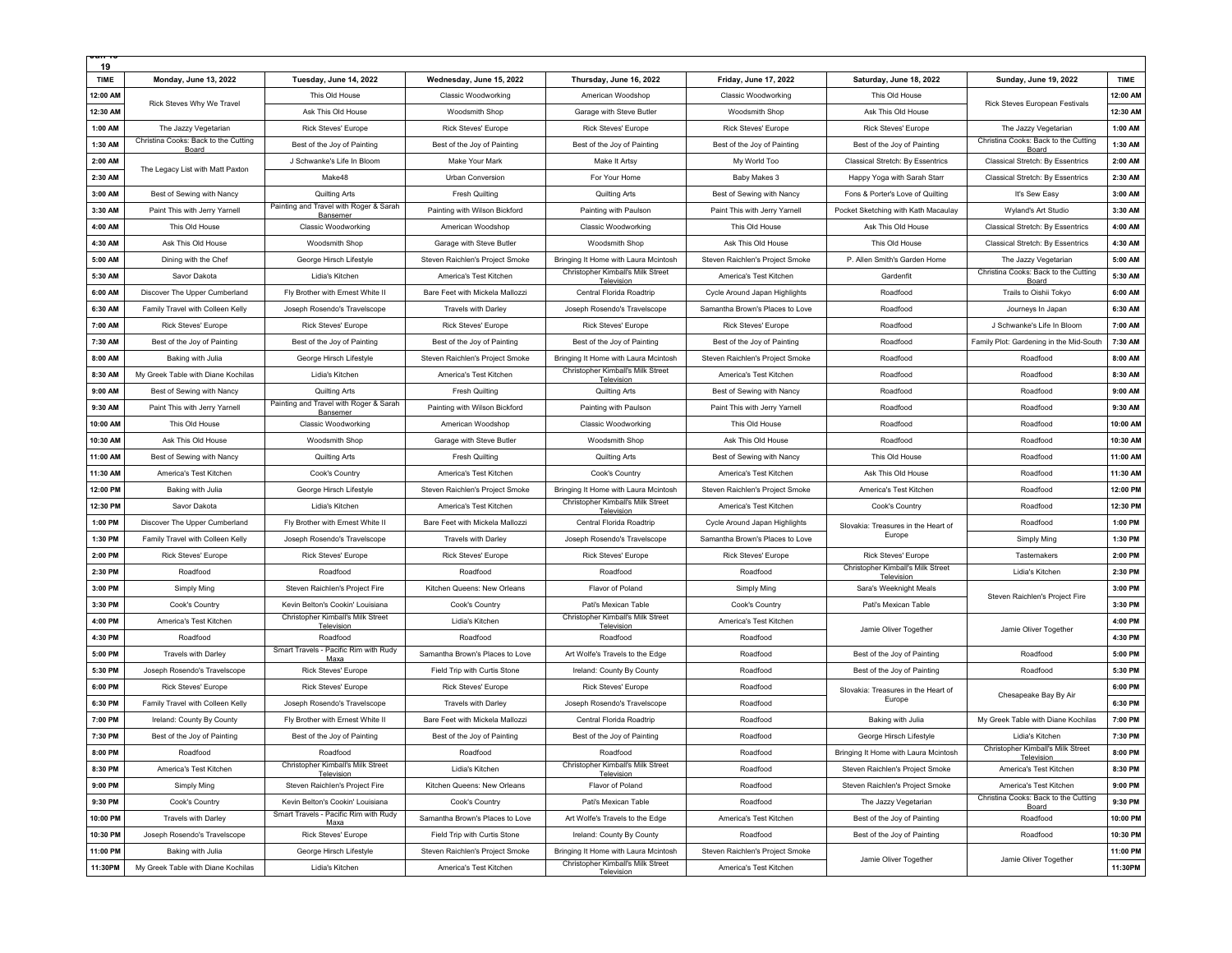| 19          |                                               |                                                    |                                 |                                                 |                                 |                                                 |                                                      |          |
|-------------|-----------------------------------------------|----------------------------------------------------|---------------------------------|-------------------------------------------------|---------------------------------|-------------------------------------------------|------------------------------------------------------|----------|
| <b>TIME</b> | Monday, June 13, 2022                         | Tuesday, June 14, 2022                             | Wednesday, June 15, 2022        | Thursday, June 16, 2022                         | Friday, June 17, 2022           | Saturday, June 18, 2022                         | Sunday, June 19, 2022                                | TIME     |
| 12:00 AM    |                                               | This Old House                                     | <b>Classic Woodworking</b>      | American Woodshop                               | <b>Classic Woodworking</b>      | This Old House                                  |                                                      | 12:00 AM |
| 12:30 AM    | Rick Steves Why We Travel                     | Ask This Old House                                 | Woodsmith Shop                  | Garage with Steve Butler                        | Woodsmith Shop                  | Ask This Old House                              | Rick Steves European Festivals                       | 12:30 AM |
| 1:00 AM     | The Jazzy Vegetarian                          | Rick Steves' Europe                                | <b>Rick Steves' Europe</b>      | Rick Steves' Europe                             | <b>Rick Steves' Europe</b>      | <b>Rick Steves' Europe</b>                      | The Jazzy Vegetarian                                 | 1:00 AM  |
| 1:30 AM     | Christina Cooks: Back to the Cutting<br>Board | Best of the Joy of Painting                        | Best of the Joy of Painting     | Best of the Joy of Painting                     | Best of the Joy of Painting     | Best of the Joy of Painting                     | Christina Cooks: Back to the Cutting<br>Board        | 1:30 AM  |
| 2:00 AM     |                                               | J Schwanke's Life In Bloom                         | Make Your Mark                  | Make It Artsy                                   | My World Too                    | Classical Stretch: By Essentrics                | Classical Stretch: By Essentrics                     | 2:00 AM  |
| 2:30 AM     | The Legacy List with Matt Paxton              | Make48                                             | Urban Conversion                | For Your Home                                   | Baby Makes 3                    | Happy Yoga with Sarah Starr                     | Classical Stretch: By Essentrics                     | 2:30 AM  |
| 3:00 AM     | Best of Sewing with Nancy                     | Quilting Arts                                      | <b>Fresh Quilting</b>           | Quilting Arts                                   | Best of Sewing with Nancy       | Fons & Porter's Love of Quilting                | It's Sew Easy                                        | 3:00 AM  |
| 3:30 AM     | Paint This with Jerry Yarnell                 | Painting and Travel with Roger & Sarah<br>Bansemer | Painting with Wilson Bickford   | Painting with Paulson                           | Paint This with Jerry Yarnell   | Pocket Sketching with Kath Macaulay             | Wyland's Art Studio                                  | 3:30 AM  |
| 4:00 AM     | This Old House                                | <b>Classic Woodworking</b>                         | American Woodshop               | <b>Classic Woodworking</b>                      | This Old House                  | Ask This Old House                              | Classical Stretch: By Essentrics                     | 4:00 AM  |
| 4:30 AM     | Ask This Old House                            | Woodsmith Shop                                     | Garage with Steve Butler        | Woodsmith Shop                                  | Ask This Old House              | This Old House                                  | Classical Stretch: By Essentrics                     | 4:30 AM  |
| 5:00 AM     | Dining with the Chef                          | George Hirsch Lifestyle                            | Steven Raichlen's Project Smoke | Bringing It Home with Laura Mcintosh            | Steven Raichlen's Project Smoke | P. Allen Smith's Garden Home                    | The Jazzy Vegetarian                                 | 5:00 AM  |
| 5:30 AM     | Savor Dakota                                  | Lidia's Kitchen                                    | America's Test Kitchen          | Christopher Kimball's Milk Street<br>Television | America's Test Kitchen          | Gardenfit                                       | Christina Cooks: Back to the Cutting<br>Board        | 5:30 AM  |
| 6:00 AM     | Discover The Upper Cumberland                 | Fly Brother with Ernest White II                   | Bare Feet with Mickela Mallozzi | Central Florida Roadtrip                        | Cycle Around Japan Highlights   | Roadfood                                        | Trails to Oishii Tokyo                               | 6:00 AM  |
| 6:30 AM     | Family Travel with Colleen Kelly              | Joseph Rosendo's Travelscope                       | Travels with Darley             | Joseph Rosendo's Travelscope                    | Samantha Brown's Places to Love | Roadfood                                        | Journeys In Japan                                    | 6:30 AM  |
| 7:00 AM     | <b>Rick Steves' Europe</b>                    | <b>Rick Steves' Europe</b>                         | <b>Rick Steves' Europe</b>      | <b>Rick Steves' Europe</b>                      | <b>Rick Steves' Europe</b>      | Roadfood                                        | J Schwanke's Life In Bloom                           | 7:00 AM  |
| 7:30 AM     | Best of the Joy of Painting                   | Best of the Joy of Painting                        | Best of the Joy of Painting     | Best of the Joy of Painting                     | Best of the Joy of Painting     | Roadfood                                        | Family Plot: Gardening in the Mid-South              | 7:30 AM  |
| 8:00 AM     | Baking with Julia                             | George Hirsch Lifestyle                            | Steven Raichlen's Project Smoke | Bringing It Home with Laura Mcintosh            | Steven Raichlen's Project Smoke | Roadfood                                        | Roadfood                                             | 8:00 AM  |
| 8:30 AM     | My Greek Table with Diane Kochilas            | Lidia's Kitchen                                    | America's Test Kitchen          | Christopher Kimball's Milk Street<br>Television | America's Test Kitchen          | Roadfood                                        | Roadfood                                             | 8:30 AM  |
| 9:00 AM     | Best of Sewing with Nancy                     | <b>Quilting Arts</b>                               | <b>Fresh Quilting</b>           | Quilting Arts                                   | Best of Sewing with Nancy       | Roadfood                                        | Roadfood                                             | 9:00 AM  |
| 9:30 AM     | Paint This with Jerry Yarnell                 | Painting and Travel with Roger & Sarah<br>Bansemer | Painting with Wilson Bickford   | Painting with Paulson                           | Paint This with Jerry Yarnell   | Roadfood                                        | Roadfood                                             | 9:30 AM  |
| 10:00 AM    | This Old House                                | <b>Classic Woodworking</b>                         | American Woodshop               | <b>Classic Woodworking</b>                      | This Old House                  | Roadfood                                        | Roadfood                                             | 10:00 AM |
| 10:30 AM    | Ask This Old House                            | Woodsmith Shop                                     | Garage with Steve Butler        | Woodsmith Shop                                  | Ask This Old House              | Roadfood                                        | Roadfood                                             | 10:30 AM |
| 11:00 AM    | Best of Sewing with Nancy                     | <b>Quilting Arts</b>                               | Fresh Quilting                  | <b>Quilting Arts</b>                            | Best of Sewing with Nancy       | This Old House                                  | Roadfood                                             | 11:00 AM |
| 11:30 AM    | America's Test Kitchen                        | Cook's Country                                     | America's Test Kitchen          | Cook's Country                                  | America's Test Kitchen          | Ask This Old House                              | Roadfood                                             | 11:30 AM |
| 12:00 PM    | Baking with Julia                             | George Hirsch Lifestyle                            | Steven Raichlen's Project Smoke | Bringing It Home with Laura Mcintosh            | Steven Raichlen's Project Smoke | America's Test Kitchen                          | Roadfood                                             | 12:00 PM |
| 12:30 PM    | Savor Dakota                                  | Lidia's Kitchen                                    | America's Test Kitchen          | Christopher Kimball's Milk Street<br>Television | America's Test Kitchen          | Cook's Country                                  | Roadfood                                             | 12:30 PM |
| 1:00 PM     | Discover The Upper Cumberland                 | Fly Brother with Ernest White II                   | Bare Feet with Mickela Mallozzi | Central Florida Roadtrip                        | Cycle Around Japan Highlights   | Slovakia: Treasures in the Heart of             | Roadfood                                             | 1:00 PM  |
| 1:30 PM     | Family Travel with Colleen Kelly              | Joseph Rosendo's Travelscope                       | Travels with Darley             | Joseph Rosendo's Travelscope                    | Samantha Brown's Places to Love | Europe                                          | Simply Ming                                          | 1:30 PM  |
| 2:00 PM     | <b>Rick Steves' Europe</b>                    | Rick Steves' Europe                                | <b>Rick Steves' Europe</b>      | <b>Rick Steves' Europe</b>                      | Rick Steves' Europe             | <b>Rick Steves' Europe</b>                      | Tastemakers                                          | 2:00 PM  |
| 2:30 PM     | Roadfood                                      | Roadfood                                           | Roadfood                        | Roadfood                                        | Roadfood                        | Christopher Kimball's Milk Street<br>Television | Lidia's Kitchen                                      | 2:30 PM  |
| 3:00 PM     | Simply Ming                                   | Steven Raichlen's Project Fire                     | Kitchen Queens: New Orleans     | Flavor of Poland                                | Simply Ming                     | Sara's Weeknight Meals                          | Steven Raichlen's Project Fire                       | 3:00 PM  |
| 3:30 PM     | Cook's Country                                | Kevin Belton's Cookin' Louisiana                   | Cook's Country                  | Pati's Mexican Table                            | Cook's Country                  | Pati's Mexican Table                            |                                                      | 3:30 PM  |
| 4:00 PM     | America's Test Kitchen                        | Christopher Kimball's Milk Street<br>Television    | Lidia's Kitchen                 | Christopher Kimball's Milk Street<br>Television | America's Test Kitchen          | Jamie Oliver Together                           | Jamie Oliver Together                                | 4:00 PM  |
| 4:30 PM     | Roadfood                                      | Roadfood                                           | Roadfood                        | Roadfood                                        | Roadfood                        |                                                 |                                                      | 4:30 PM  |
| 5:00 PM     | <b>Travels with Darley</b>                    | Smart Travels - Pacific Rim with Rudy<br>Maxa      | Samantha Brown's Places to Love | Art Wolfe's Travels to the Edge                 | Roadfood                        | Best of the Joy of Painting                     | Roadfood                                             | 5:00 PM  |
| 5:30 PM     | Joseph Rosendo's Travelscope                  | Rick Steves' Europe                                | Field Trip with Curtis Stone    | Ireland: County By County                       | Roadfood                        | Best of the Joy of Painting                     | Roadfood                                             | 5:30 PM  |
| 6:00 PM     | <b>Rick Steves' Europe</b>                    | Rick Steves' Europe                                | <b>Rick Steves' Europe</b>      | <b>Rick Steves' Europe</b>                      | Roadfood                        | Slovakia: Treasures in the Heart of             | Chesapeake Bay By Air                                | 6:00 PM  |
| 6:30 PM     | Family Travel with Colleen Kelly              | Joseph Rosendo's Travelscope                       | <b>Travels with Darley</b>      | Joseph Rosendo's Travelscope                    | Roadfood                        | Europe                                          |                                                      | 6:30 PM  |
| 7:00 PM     | Ireland: County By County                     | Fly Brother with Ernest White II                   | Bare Feet with Mickela Mallozzi | Central Florida Roadtrip                        | Roadfood                        | Baking with Julia                               | My Greek Table with Diane Kochilas                   | 7:00 PM  |
| 7:30 PM     | Best of the Joy of Painting                   | Best of the Joy of Painting                        | Best of the Joy of Painting     | Best of the Joy of Painting                     | Roadfood                        | George Hirsch Lifestyle                         | Lidia's Kitchen<br>Christopher Kimball's Milk Street | 7:30 PM  |
| 8:00 PM     | Roadfood                                      | Roadfood<br>Christopher Kimball's Milk Street      | Roadfood                        | Roadfood<br>Christopher Kimball's Milk Street   | Roadfood                        | Bringing It Home with Laura Mcintosh            | <b>Television</b>                                    | 8:00 PM  |
| 8:30 PM     | America's Test Kitchen                        | Television                                         | Lidia's Kitchen                 | Television                                      | Roadfood                        | Steven Raichlen's Project Smoke                 | America's Test Kitchen                               | 8:30 PM  |
| 9:00 PM     | Simply Ming                                   | Steven Raichlen's Project Fire                     | Kitchen Queens: New Orleans     | Flavor of Poland                                | Roadfood                        | Steven Raichlen's Project Smoke                 | America's Test Kitchen                               | 9:00 PM  |
| 9:30 PM     | Cook's Country                                | Kevin Belton's Cookin' Louisiana                   | Cook's Country                  | Pati's Mexican Table                            | Roadfood                        | The Jazzy Vegetarian                            | Christina Cooks: Back to the Cutting<br>Board        | 9:30 PM  |
| 10:00 PM    | Travels with Darley                           | Smart Travels - Pacific Rim with Rudy<br>Maxa      | Samantha Brown's Places to Love | Art Wolfe's Travels to the Edge                 | America's Test Kitchen          | Best of the Joy of Painting                     | Roadfood                                             | 10:00 PM |
| 10:30 PM    | Joseph Rosendo's Travelscope                  | Rick Steves' Europe                                | Field Trip with Curtis Stone    | Ireland: County By County                       | Roadfood                        | Best of the Joy of Painting                     | Roadfood                                             | 10:30 PM |
| 11:00 PM    | Baking with Julia                             | George Hirsch Lifestyle                            | Steven Raichlen's Project Smoke | Bringing It Home with Laura Mcintosh            | Steven Raichlen's Project Smoke | Jamie Oliver Together                           | Jamie Oliver Together                                | 11:00 PM |
| 11:30PM     | My Greek Table with Diane Kochilas            | Lidia's Kitchen                                    | America's Test Kitchen          | Christopher Kimball's Milk Street<br>Television | America's Test Kitchen          |                                                 |                                                      | 11:30PM  |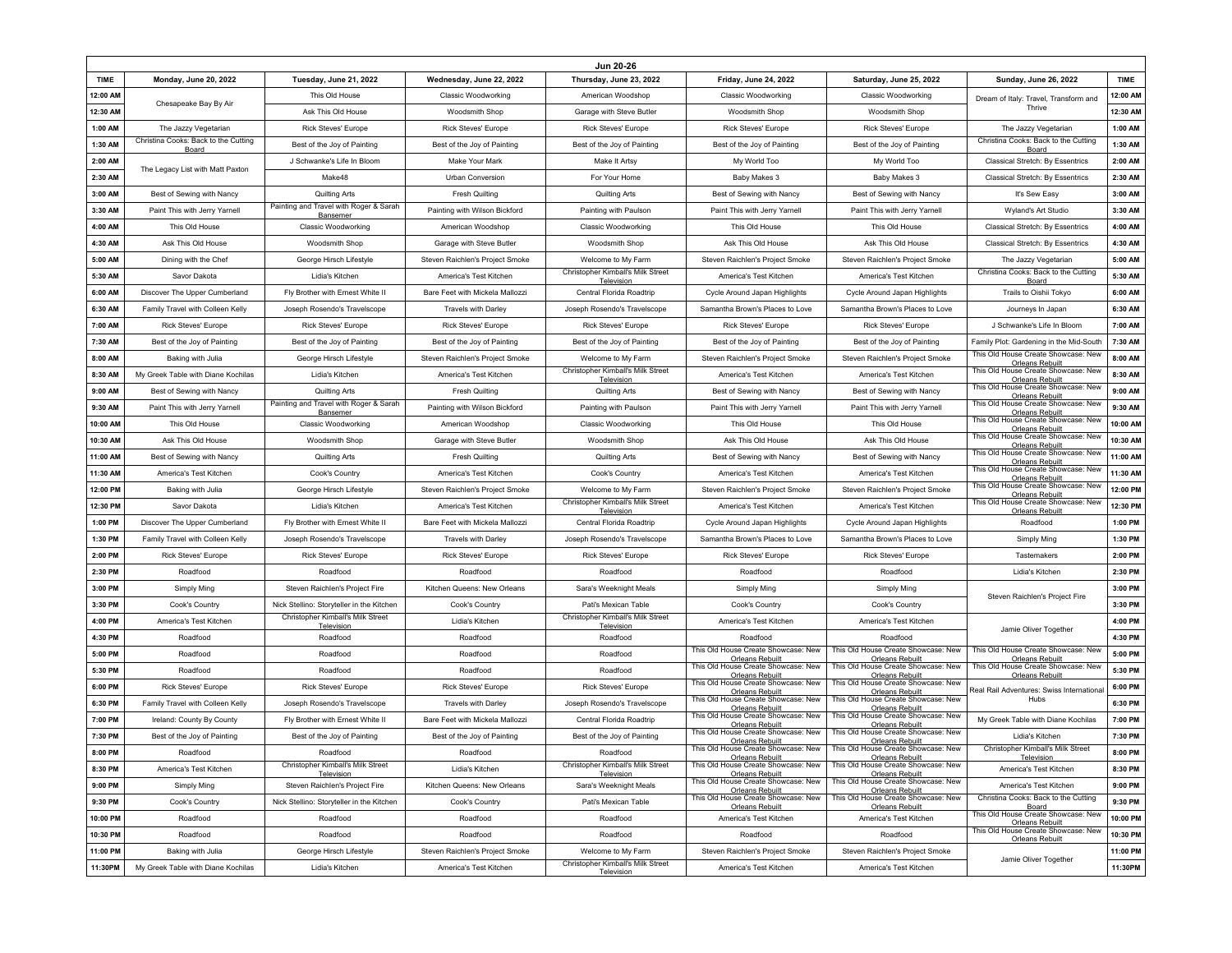|             | Jun 20-26                                     |                                                                                |                                 |                                                           |                                                               |                                                               |                                                                                               |             |
|-------------|-----------------------------------------------|--------------------------------------------------------------------------------|---------------------------------|-----------------------------------------------------------|---------------------------------------------------------------|---------------------------------------------------------------|-----------------------------------------------------------------------------------------------|-------------|
| <b>TIME</b> | Monday, June 20, 2022                         | Tuesday, June 21, 2022                                                         | Wednesday, June 22, 2022        | Thursday, June 23, 2022                                   | <b>Friday, June 24, 2022</b>                                  | Saturday, June 25, 2022                                       | Sunday, June 26, 2022                                                                         | <b>TIME</b> |
| 12:00 AM    | Chesapeake Bay By Air                         | This Old House                                                                 | Classic Woodworking             | American Woodshop                                         | <b>Classic Woodworking</b>                                    | <b>Classic Woodworking</b>                                    | Dream of Italy: Travel, Transform and                                                         | 12:00 AM    |
| 12:30 AM    |                                               | Ask This Old House                                                             | Woodsmith Shop                  | Garage with Steve Butler                                  | Woodsmith Shop                                                | Woodsmith Shop                                                | Thrive                                                                                        | 12:30 AM    |
| 1:00 AM     | The Jazzy Vegetarian                          | <b>Rick Steves' Europe</b>                                                     | <b>Rick Steves' Europe</b>      | <b>Rick Steves' Europe</b>                                | <b>Rick Steves' Europe</b>                                    | <b>Rick Steves' Europe</b>                                    | The Jazzy Vegetarian                                                                          | 1:00 AM     |
| 1:30 AM     | Christina Cooks: Back to the Cutting<br>Board | Best of the Joy of Painting                                                    | Best of the Joy of Painting     | Best of the Joy of Painting                               | Best of the Joy of Painting                                   | Best of the Joy of Painting                                   | Christina Cooks: Back to the Cutting<br>Board                                                 | 1:30 AM     |
| 2:00 AM     | The Legacy List with Matt Paxton              | J Schwanke's Life In Bloom                                                     | <b>Make Your Mark</b>           | Make It Artsy                                             | My World Too                                                  | My World Too                                                  | Classical Stretch: By Essentrics                                                              | 2:00 AM     |
| 2:30 AM     |                                               | Make48                                                                         | Urban Conversion                | For Your Home                                             | Baby Makes 3                                                  | Baby Makes 3                                                  | <b>Classical Stretch: By Essentrics</b>                                                       | 2:30 AM     |
| 3:00 AM     | Best of Sewing with Nancy                     | Quilting Arts                                                                  | Fresh Quilting                  | <b>Quilting Arts</b>                                      | Best of Sewing with Nancy                                     | Best of Sewing with Nancy                                     | It's Sew Easy                                                                                 | 3:00 AM     |
| 3:30 AM     | Paint This with Jerry Yarnell                 | Painting and Travel with Roger & Sarah<br>Bansemer                             | Painting with Wilson Bickford   | Painting with Paulson                                     | Paint This with Jerry Yarnell                                 | Paint This with Jerry Yarnell                                 | Wyland's Art Studio                                                                           | 3:30 AM     |
| 4:00 AM     | This Old House                                | <b>Classic Woodworking</b>                                                     | American Woodshop               | <b>Classic Woodworking</b>                                | This Old House                                                | This Old House                                                | Classical Stretch: By Essentrics                                                              | 4:00 AM     |
| 4:30 AM     | Ask This Old House                            | Woodsmith Shop                                                                 | Garage with Steve Butler        | Woodsmith Shop                                            | Ask This Old House                                            | Ask This Old House                                            | <b>Classical Stretch: By Essentrics</b>                                                       | 4:30 AM     |
| 5:00 AM     | Dining with the Chef                          | George Hirsch Lifestyle                                                        | Steven Raichlen's Project Smoke | Welcome to My Farm                                        | Steven Raichlen's Project Smoke                               | Steven Raichlen's Project Smoke                               | The Jazzy Vegetarian                                                                          | 5:00 AM     |
| 5:30 AM     | Savor Dakota                                  | Lidia's Kitchen                                                                | America's Test Kitchen          | Christopher Kimball's Milk Street<br>Television           | America's Test Kitchen                                        | America's Test Kitchen                                        | Christina Cooks: Back to the Cutting<br>Board                                                 | 5:30 AM     |
| 6:00 AM     | Discover The Upper Cumberland                 | Fly Brother with Ernest White II                                               | Bare Feet with Mickela Mallozzi | Central Florida Roadtrip                                  | Cycle Around Japan Highlights                                 | Cycle Around Japan Highlights                                 | Trails to Oishii Tokyo                                                                        | 6:00 AM     |
| 6:30 AM     | Family Travel with Colleen Kelly              | Joseph Rosendo's Travelscope                                                   | <b>Travels with Darley</b>      | Joseph Rosendo's Travelscope                              | Samantha Brown's Places to Love                               | Samantha Brown's Places to Love                               | Journeys In Japan                                                                             | 6:30 AM     |
| 7:00 AM     | <b>Rick Steves' Europe</b>                    | <b>Rick Steves' Europe</b>                                                     | Rick Steves' Europe             | <b>Rick Steves' Europe</b>                                | Rick Steves' Europe                                           | <b>Rick Steves' Europe</b>                                    | J Schwanke's Life In Bloom                                                                    | 7:00 AM     |
| 7:30 AM     | Best of the Joy of Painting                   | Best of the Joy of Painting                                                    | Best of the Joy of Painting     | Best of the Joy of Painting                               | Best of the Joy of Painting                                   | Best of the Joy of Painting                                   | Family Plot: Gardening in the Mid-South                                                       | 7:30 AM     |
| 8:00 AM     | Baking with Julia                             | George Hirsch Lifestyle                                                        | Steven Raichlen's Project Smoke | Welcome to My Farm                                        | Steven Raichlen's Project Smoke                               | Steven Raichlen's Project Smoke                               | This Old House Create Showcase: New<br>Orleans Rebuilt<br>This Old House Create Showcase: New | 8:00 AM     |
| 8:30 AM     | My Greek Table with Diane Kochilas            | Lidia's Kitchen                                                                | America's Test Kitchen          | Christopher Kimball's Milk Street<br>Television           | America's Test Kitchen                                        | America's Test Kitchen                                        | <b>Orleans Rebuilt</b>                                                                        | 8:30 AM     |
| 9:00 AM     | Best of Sewing with Nancy                     | Quilting Arts                                                                  | <b>Fresh Quilting</b>           | Quilting Arts                                             | Best of Sewing with Nancy                                     | Best of Sewing with Nancy                                     | This Old House Create Showcase: New<br><b>Orleans Rebuilt</b>                                 | 9:00 AM     |
| 9:30 AM     | Paint This with Jerry Yarnell                 | Painting and Travel with Roger & Sarah<br>Bansemer                             | Painting with Wilson Bickford   | Painting with Paulson                                     | Paint This with Jerry Yarnell                                 | Paint This with Jerry Yarnell                                 | This Old House Create Showcase: New<br><b>Orleans Rebuilt</b>                                 | 9:30 AM     |
| 10:00 AM    | This Old House                                | <b>Classic Woodworking</b>                                                     | American Woodshop               | Classic Woodworking                                       | This Old House                                                | This Old House                                                | This Old House Create Showcase: New<br>Orleans Rebuilt                                        | 10:00 AM    |
| 10:30 AM    | Ask This Old House                            | Woodsmith Shop                                                                 | Garage with Steve Butler        | Woodsmith Shop                                            | Ask This Old House                                            | Ask This Old House                                            | This Old House Create Showcase: New<br>Orleans Rebuilt                                        | 10:30 AM    |
| 11:00 AM    | Best of Sewing with Nancy                     | <b>Quilting Arts</b>                                                           | <b>Fresh Quilting</b>           | Quilting Arts                                             | Best of Sewing with Nancy                                     | Best of Sewing with Nancy                                     | This Old House Create Showcase: New<br>Orleans Rebuilt<br>This Old House Create Showcase: New | 11:00 AM    |
| 11:30 AM    | America's Test Kitchen                        | Cook's Country                                                                 | America's Test Kitchen          | Cook's Country                                            | America's Test Kitchen                                        | America's Test Kitchen                                        | Orleans Rebuilt<br>This Old House Create Showcase: New                                        | 11:30 AM    |
| 12:00 PM    | Baking with Julia                             | George Hirsch Lifestyle                                                        | Steven Raichlen's Project Smoke | Welcome to My Farm                                        | Steven Raichlen's Project Smoke                               | Steven Raichlen's Project Smoke                               | <b>Orleans Rebuilt</b>                                                                        | 12:00 PM    |
| 12:30 PM    | Savor Dakota                                  | Lidia's Kitchen                                                                | America's Test Kitchen          | Christopher Kimball's Milk Street<br>Television           | America's Test Kitchen                                        | America's Test Kitchen                                        | This Old House Create Showcase: New<br>Orleans Rebuilt                                        | 12:30 PM    |
| 1:00 PM     | Discover The Upper Cumberland                 | Fly Brother with Ernest White II                                               | Bare Feet with Mickela Mallozzi | Central Florida Roadtrip                                  | Cycle Around Japan Highlights                                 | Cycle Around Japan Highlights                                 | Roadfood                                                                                      | 1:00 PM     |
| 1:30 PM     | Family Travel with Colleen Kelly              | Joseph Rosendo's Travelscope                                                   | <b>Travels with Darley</b>      | Joseph Rosendo's Travelscope                              | Samantha Brown's Places to Love                               | Samantha Brown's Places to Love                               | <b>Simply Ming</b>                                                                            | 1:30 PM     |
| 2:00 PM     | <b>Rick Steves' Europe</b>                    | <b>Rick Steves' Europe</b>                                                     | <b>Rick Steves' Europe</b>      | Rick Steves' Europe                                       | <b>Rick Steves' Europe</b>                                    | <b>Rick Steves' Europe</b>                                    | Tastemakers                                                                                   | 2:00 PM     |
| 2:30 PM     | Roadfood                                      | Roadfood                                                                       | Roadfood                        | Roadfood                                                  | Roadfood                                                      | Roadfood                                                      | Lidia's Kitchen                                                                               | 2:30 PM     |
| 3:00 PM     | Simply Ming                                   | Steven Raichlen's Project Fire                                                 | Kitchen Queens: New Orleans     | Sara's Weeknight Meals                                    | Simply Ming                                                   | Simply Ming                                                   | Steven Raichlen's Project Fire                                                                | 3:00 PM     |
| 3:30 PM     | Cook's Country                                | Nick Stellino: Storyteller in the Kitchen<br>Christopher Kimball's Milk Street | Cook's Country                  | Pati's Mexican Table<br>Christopher Kimball's Milk Street | Cook's Country                                                | Cook's Country                                                |                                                                                               | 3:30 PM     |
| 4:00 PM     | America's Test Kitchen                        | Television                                                                     | Lidia's Kitchen                 | Television                                                | America's Test Kitchen                                        | America's Test Kitchen                                        | Jamie Oliver Together                                                                         | 4:00 PM     |
| 4:30 PM     | Roadfood                                      | Roadfood                                                                       | Roadfood                        | Roadfood                                                  | Roadfood<br>This Old House Create Showcase: New               | Roadfood<br>This Old House Create Showcase: New               | This Old House Create Showcase: New                                                           | 4:30 PM     |
| 5:00 PM     | Roadfood                                      | Roadfood                                                                       | Roadfood                        | Roadfood                                                  | <b>Orleans Rebuilt</b><br>This Old House Create Showcase: New | <b>Orleans Rebuilt</b><br>This Old House Create Showcase: New | Orleans Rebuilt<br>This Old House Create Showcase: New                                        | 5:00 PM     |
| 5:30 PM     | Roadfood                                      | Roadfood                                                                       | Roadfood                        | Roadfood                                                  | <b>Orleans Rebuilt</b><br>This Old House Create Showcase: New | <b>Orleans Rebuilt</b><br>This Old House Create Showcase: New | <b>Orleans Rebuilt</b>                                                                        | 5:30 PM     |
| 6:00 PM     | <b>Rick Steves' Europe</b>                    | <b>Rick Steves' Europe</b>                                                     | <b>Rick Steves' Europe</b>      | <b>Rick Steves' Europe</b>                                | <b>Orleans Rebuilt</b><br>This Old House Create Showcase: New | <b>Orleans Rebuilt</b><br>This Old House Create Showcase: New | Real Rail Adventures: Swiss International<br>Hubs                                             | 6:00 PM     |
| 6:30 PM     | Family Travel with Colleen Kelly              | Joseph Rosendo's Travelscope                                                   | <b>Travels with Darley</b>      | Joseph Rosendo's Travelscope                              | <b>Orleans Rebuilt</b><br>This Old House Create Showcase: New | <b>Orleans Rebuilt</b><br>This Old House Create Showcase: New |                                                                                               | 6:30 PM     |
| 7:00 PM     | Ireland: County By County                     | Fly Brother with Ernest White II                                               | Bare Feet with Mickela Mallozzi | Central Florida Roadtrip                                  | <b>Orleans Rebuilt</b><br>This Old House Create Showcase: New | Orleans Rebuilt<br>This Old House Create Showcase: New        | My Greek Table with Diane Kochilas                                                            | 7:00 PM     |
| 7:30 PM     | Best of the Joy of Painting                   | Best of the Joy of Painting                                                    | Best of the Joy of Painting     | Best of the Joy of Painting                               | Orleans Rebuilt<br>This Old House Create Showcase: New        | Orleans Rebuilt<br>This Old House Create Showcase: New        | Lidia's Kitchen<br>Christopher Kimball's Milk Street                                          | 7:30 PM     |
| 8:00 PM     | Roadfood                                      | Roadfood<br>Christopher Kimball's Milk Street                                  | Roadfood                        | Roadfood<br>Christopher Kimball's Milk Street             | Orleans Rebuilt<br>This Old House Create Showcase: New        | Orleans Rebuilt<br>This Old House Create Showcase: New        | Television                                                                                    | 8:00 PM     |
| 8:30 PM     | America's Test Kitchen                        | Television                                                                     | Lidia's Kitchen                 | Television                                                | <b>Orleans Rebuilt</b><br>This Old House Create Showcase: New | Orleans Rebuilt<br>This Old House Create Showcase: New        | America's Test Kitchen                                                                        | 8:30 PM     |
| 9:00 PM     | Simply Ming                                   | Steven Raichlen's Project Fire                                                 | Kitchen Queens: New Orleans     | Sara's Weeknight Meals                                    | <b>Orleans Rebuilt</b><br>This Old House Create Showcase: New | <b>Orleans Rebuilt</b><br>This Old House Create Showcase: New | America's Test Kitchen<br>Christina Cooks: Back to the Cutting                                | 9:00 PM     |
| 9:30 PM     | Cook's Country                                | Nick Stellino: Storyteller in the Kitchen                                      | Cook's Country                  | Pati's Mexican Table                                      | <b>Orleans Rebuilt</b>                                        | <b>Orleans Rebuilt</b>                                        | Board<br>This Old House Create Showcase: New                                                  | 9:30 PM     |
| 10:00 PM    | Roadfood                                      | Roadfood                                                                       | Roadfood                        | Roadfood                                                  | America's Test Kitchen                                        | America's Test Kitchen                                        | Orleans Rebuilt<br>This Old House Create Showcase: New                                        | 10:00 PM    |
| 10:30 PM    | Roadfood                                      | Roadfood                                                                       | Roadfood                        | Roadfood                                                  | Roadfood                                                      | Roadfood                                                      | Orleans Rebuilt                                                                               | 10:30 PM    |
| 11:00 PM    | Baking with Julia                             | George Hirsch Lifestyle                                                        | Steven Raichlen's Project Smoke | Welcome to My Farm<br>Christopher Kimball's Milk Street   | Steven Raichlen's Project Smoke                               | Steven Raichlen's Project Smoke                               | Jamie Oliver Together                                                                         | 11:00 PM    |
| 11:30PM     | My Greek Table with Diane Kochilas            | Lidia's Kitchen                                                                | America's Test Kitchen          | Television                                                | America's Test Kitchen                                        | America's Test Kitchen                                        |                                                                                               | 11:30PM     |